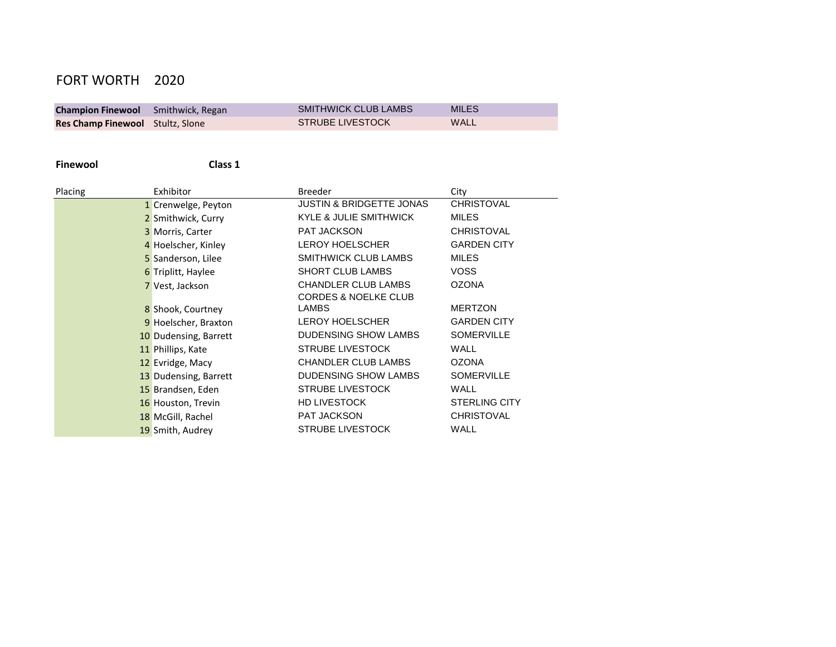# FORT WORTH 2020

| <b>Champion Finewool</b> Smithwick, Regan | <b>SMITHWICK CLUB LAMBS</b> | <b>MILES</b> |
|-------------------------------------------|-----------------------------|--------------|
| <b>Res Champ Finewool</b> Stultz, Slone   | <b>STRUBE LIVESTOCK</b>     | WALL         |

**Finewool Class 1**

| Placing | Exhibitor             | <b>Breeder</b>                      | City                 |
|---------|-----------------------|-------------------------------------|----------------------|
|         | 1 Crenwelge, Peyton   | <b>JUSTIN &amp; BRIDGETTE JONAS</b> | <b>CHRISTOVAL</b>    |
|         | 2 Smithwick, Curry    | <b>KYLE &amp; JULIE SMITHWICK</b>   | <b>MILES</b>         |
|         | 3 Morris, Carter      | <b>PAT JACKSON</b>                  | <b>CHRISTOVAL</b>    |
|         | 4 Hoelscher, Kinley   | <b>LEROY HOELSCHER</b>              | <b>GARDEN CITY</b>   |
|         | 5 Sanderson, Lilee    | <b>SMITHWICK CLUB LAMBS</b>         | <b>MILES</b>         |
|         | 6 Triplitt, Haylee    | <b>SHORT CLUB LAMBS</b>             | <b>VOSS</b>          |
|         | 7 Vest, Jackson       | <b>CHANDLER CLUB LAMBS</b>          | <b>OZONA</b>         |
|         |                       | <b>CORDES &amp; NOELKE CLUB</b>     |                      |
|         | 8 Shook, Courtney     | <b>LAMBS</b>                        | <b>MERTZON</b>       |
|         | 9 Hoelscher, Braxton  | <b>LEROY HOELSCHER</b>              | <b>GARDEN CITY</b>   |
|         | 10 Dudensing, Barrett | DUDENSING SHOW LAMBS                | <b>SOMERVILLE</b>    |
|         | 11 Phillips, Kate     | <b>STRUBE LIVESTOCK</b>             | <b>WALL</b>          |
|         | 12 Evridge, Macy      | <b>CHANDLER CLUB LAMBS</b>          | <b>OZONA</b>         |
|         | 13 Dudensing, Barrett | DUDENSING SHOW LAMBS                | <b>SOMERVILLE</b>    |
|         | 15 Brandsen, Eden     | <b>STRUBE LIVESTOCK</b>             | WALL                 |
|         | 16 Houston, Trevin    | <b>HD LIVESTOCK</b>                 | <b>STERLING CITY</b> |
|         | 18 McGill, Rachel     | PAT JACKSON                         | <b>CHRISTOVAL</b>    |
|         | 19 Smith, Audrey      | <b>STRUBE LIVESTOCK</b>             | WALL                 |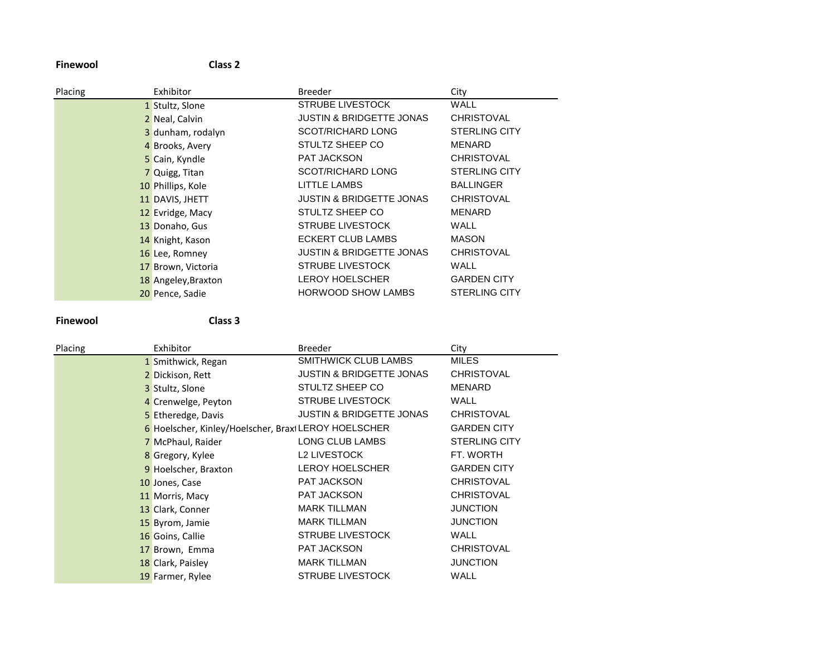**Finewool Class 2**

| Placing | Exhibitor           | <b>Breeder</b>                      | City                 |
|---------|---------------------|-------------------------------------|----------------------|
|         | 1 Stultz, Slone     | STRUBE LIVESTOCK                    | WALL                 |
|         | 2 Neal, Calvin      | <b>JUSTIN &amp; BRIDGETTE JONAS</b> | <b>CHRISTOVAL</b>    |
|         | 3 dunham, rodalyn   | <b>SCOT/RICHARD LONG</b>            | <b>STERLING CITY</b> |
|         | 4 Brooks, Avery     | STULTZ SHEEP CO                     | <b>MENARD</b>        |
|         | 5 Cain, Kyndle      | <b>PAT JACKSON</b>                  | <b>CHRISTOVAL</b>    |
|         | 7 Quigg, Titan      | <b>SCOT/RICHARD LONG</b>            | <b>STERLING CITY</b> |
|         | 10 Phillips, Kole   | LITTLE LAMBS                        | <b>BALLINGER</b>     |
|         | 11 DAVIS, JHETT     | <b>JUSTIN &amp; BRIDGETTE JONAS</b> | <b>CHRISTOVAL</b>    |
|         | 12 Evridge, Macy    | STULTZ SHEEP CO                     | <b>MENARD</b>        |
|         | 13 Donaho, Gus      | <b>STRUBE LIVESTOCK</b>             | <b>WALL</b>          |
|         | 14 Knight, Kason    | ECKERT CLUB LAMBS                   | <b>MASON</b>         |
|         | 16 Lee, Romney      | <b>JUSTIN &amp; BRIDGETTE JONAS</b> | <b>CHRISTOVAL</b>    |
|         | 17 Brown, Victoria  | <b>STRUBE LIVESTOCK</b>             | WALL                 |
|         | 18 Angeley, Braxton | <b>LEROY HOELSCHER</b>              | <b>GARDEN CITY</b>   |
|         | 20 Pence, Sadie     | <b>HORWOOD SHOW LAMBS</b>           | <b>STERLING CITY</b> |

**Finewool Class 3**

| Placing | Exhibitor                                            | <b>Breeder</b>                      | City                 |
|---------|------------------------------------------------------|-------------------------------------|----------------------|
|         | 1 Smithwick, Regan                                   | SMITHWICK CLUB LAMBS                | <b>MILES</b>         |
|         | 2 Dickison, Rett                                     | <b>JUSTIN &amp; BRIDGETTE JONAS</b> | <b>CHRISTOVAL</b>    |
|         | 3 Stultz, Slone                                      | STULTZ SHEEP CO                     | MENARD               |
|         | 4 Crenwelge, Peyton                                  | <b>STRUBE LIVESTOCK</b>             | WALL                 |
|         | 5 Etheredge, Davis                                   | <b>JUSTIN &amp; BRIDGETTE JONAS</b> | <b>CHRISTOVAL</b>    |
|         | 6 Hoelscher, Kinley/Hoelscher, Braxi LEROY HOELSCHER |                                     | <b>GARDEN CITY</b>   |
|         | 7 McPhaul, Raider                                    | LONG CLUB LAMBS                     | <b>STERLING CITY</b> |
|         | 8 Gregory, Kylee                                     | L2 LIVESTOCK                        | FT. WORTH            |
|         | 9 Hoelscher, Braxton                                 | <b>LEROY HOELSCHER</b>              | <b>GARDEN CITY</b>   |
|         | 10 Jones, Case                                       | PAT JACKSON                         | <b>CHRISTOVAL</b>    |
|         | 11 Morris, Macy                                      | <b>PAT JACKSON</b>                  | <b>CHRISTOVAL</b>    |
|         | 13 Clark, Conner                                     | <b>MARK TILLMAN</b>                 | <b>JUNCTION</b>      |
|         | 15 Byrom, Jamie                                      | <b>MARK TILLMAN</b>                 | <b>JUNCTION</b>      |
|         | 16 Goins, Callie                                     | <b>STRUBE LIVESTOCK</b>             | WALL                 |
|         | 17 Brown, Emma                                       | <b>PAT JACKSON</b>                  | <b>CHRISTOVAL</b>    |
|         | 18 Clark, Paisley                                    | <b>MARK TILLMAN</b>                 | <b>JUNCTION</b>      |
|         | 19 Farmer, Rylee                                     | <b>STRUBE LIVESTOCK</b>             | WALL                 |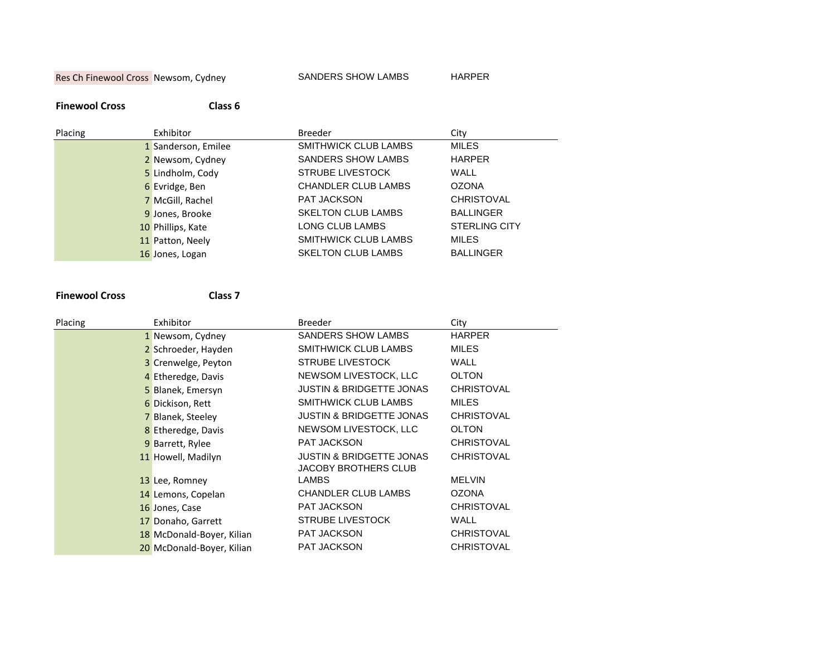Res Ch Finewool Cross Newsom, Cydney SANDERS SHOW LAMBS HARPER

### **Finewool Cross Class 6**

| Placing | Exhibitor           | <b>Breeder</b>              | City                 |
|---------|---------------------|-----------------------------|----------------------|
|         | 1 Sanderson, Emilee | SMITHWICK CLUB LAMBS        | <b>MILES</b>         |
|         | 2 Newsom, Cydney    | SANDERS SHOW LAMBS          | <b>HARPER</b>        |
|         | 5 Lindholm, Cody    | <b>STRUBE LIVESTOCK</b>     | <b>WALL</b>          |
|         | 6 Evridge, Ben      | <b>CHANDLER CLUB LAMBS</b>  | <b>OZONA</b>         |
|         | 7 McGill, Rachel    | <b>PAT JACKSON</b>          | <b>CHRISTOVAL</b>    |
|         | 9 Jones, Brooke     | <b>SKELTON CLUB LAMBS</b>   | <b>BALLINGER</b>     |
|         | 10 Phillips, Kate   | LONG CLUB LAMBS             | <b>STERLING CITY</b> |
|         | 11 Patton, Neely    | <b>SMITHWICK CLUB LAMBS</b> | <b>MILES</b>         |
|         | 16 Jones, Logan     | <b>SKELTON CLUB LAMBS</b>   | <b>BALLINGER</b>     |

### **Finewool Cross Class 7**

| Placing | Exhibitor                 | <b>Breeder</b>                                              | City              |
|---------|---------------------------|-------------------------------------------------------------|-------------------|
|         | 1 Newsom, Cydney          | SANDERS SHOW LAMBS                                          | <b>HARPER</b>     |
|         | 2 Schroeder, Hayden       | <b>SMITHWICK CLUB LAMBS</b>                                 | <b>MILES</b>      |
|         | 3 Crenwelge, Peyton       | <b>STRUBE LIVESTOCK</b>                                     | WALL              |
|         | 4 Etheredge, Davis        | NEWSOM LIVESTOCK, LLC                                       | <b>OLTON</b>      |
|         | 5 Blanek, Emersyn         | <b>JUSTIN &amp; BRIDGETTE JONAS</b>                         | <b>CHRISTOVAL</b> |
|         | 6 Dickison, Rett          | SMITHWICK CLUB LAMBS                                        | <b>MILES</b>      |
|         | 7 Blanek, Steeley         | <b>JUSTIN &amp; BRIDGETTE JONAS</b>                         | <b>CHRISTOVAL</b> |
|         | 8 Etheredge, Davis        | NEWSOM LIVESTOCK, LLC                                       | <b>OLTON</b>      |
|         | 9 Barrett, Rylee          | <b>PAT JACKSON</b>                                          | <b>CHRISTOVAL</b> |
|         | 11 Howell, Madilyn        | <b>JUSTIN &amp; BRIDGETTE JONAS</b><br>JACOBY BROTHERS CLUB | <b>CHRISTOVAL</b> |
|         | 13 Lee, Romney            | <b>LAMBS</b>                                                | <b>MELVIN</b>     |
|         | 14 Lemons, Copelan        | <b>CHANDLER CLUB LAMBS</b>                                  | <b>OZONA</b>      |
|         | 16 Jones, Case            | PAT JACKSON                                                 | <b>CHRISTOVAL</b> |
|         | 17 Donaho, Garrett        | <b>STRUBE LIVESTOCK</b>                                     | WALL              |
|         | 18 McDonald-Boyer, Kilian | <b>PAT JACKSON</b>                                          | <b>CHRISTOVAL</b> |
|         | 20 McDonald-Boyer, Kilian | <b>PAT JACKSON</b>                                          | <b>CHRISTOVAL</b> |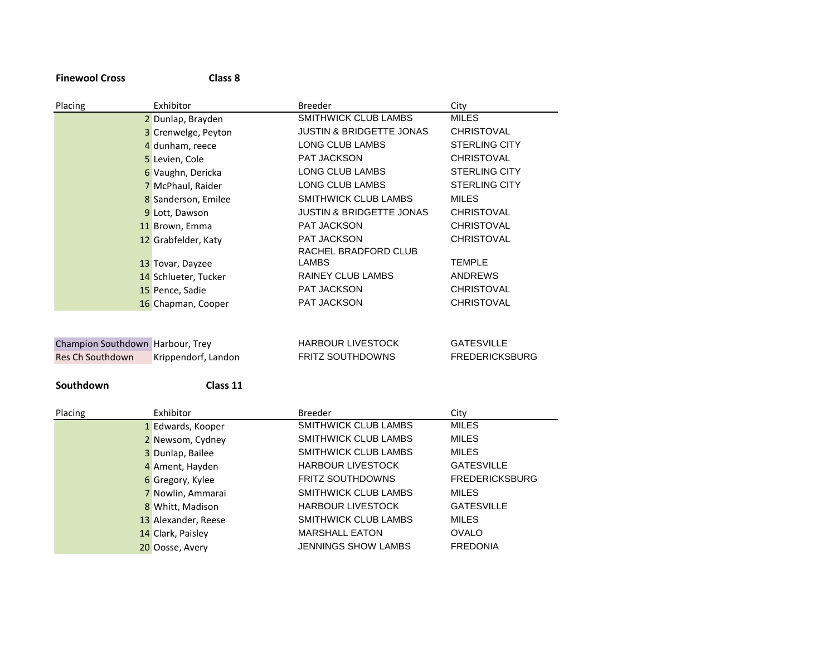# **Finewool Cross Class 8**

| Placing                          | Exhibitor            | <b>Breeder</b>                      | City                  |
|----------------------------------|----------------------|-------------------------------------|-----------------------|
|                                  | 2 Dunlap, Brayden    | SMITHWICK CLUB LAMBS                | <b>MILES</b>          |
|                                  | 3 Crenwelge, Peyton  | <b>JUSTIN &amp; BRIDGETTE JONAS</b> | <b>CHRISTOVAL</b>     |
|                                  | 4 dunham, reece      | LONG CLUB LAMBS                     | <b>STERLING CITY</b>  |
|                                  | 5 Levien, Cole       | PAT JACKSON                         | <b>CHRISTOVAL</b>     |
|                                  | 6 Vaughn, Dericka    | LONG CLUB LAMBS                     | <b>STERLING CITY</b>  |
|                                  | 7 McPhaul, Raider    | LONG CLUB LAMBS                     | <b>STERLING CITY</b>  |
|                                  | 8 Sanderson, Emilee  | SMITHWICK CLUB LAMBS                | <b>MILES</b>          |
|                                  | 9 Lott, Dawson       | <b>JUSTIN &amp; BRIDGETTE JONAS</b> | <b>CHRISTOVAL</b>     |
|                                  | 11 Brown, Emma       | PAT JACKSON                         | <b>CHRISTOVAL</b>     |
|                                  | 12 Grabfelder, Katy  | <b>PAT JACKSON</b>                  | <b>CHRISTOVAL</b>     |
|                                  |                      | RACHEL BRADFORD CLUB                |                       |
|                                  | 13 Tovar, Dayzee     | LAMBS                               | <b>TEMPLE</b>         |
|                                  | 14 Schlueter, Tucker | <b>RAINEY CLUB LAMBS</b>            | <b>ANDREWS</b>        |
|                                  | 15 Pence, Sadie      | PAT JACKSON                         | <b>CHRISTOVAL</b>     |
|                                  | 16 Chapman, Cooper   | PAT JACKSON                         | <b>CHRISTOVAL</b>     |
|                                  |                      |                                     |                       |
|                                  |                      |                                     |                       |
| Champion Southdown Harbour, Trey |                      | <b>HARBOUR LIVESTOCK</b>            | <b>GATESVILLE</b>     |
| Res Ch Southdown                 | Krippendorf, Landon  | <b>FRITZ SOUTHDOWNS</b>             | <b>FREDERICKSBURG</b> |
|                                  |                      |                                     |                       |
| Southdown                        | Class 11             |                                     |                       |

| Placing | Exhibitor           | <b>Breeder</b>              | City                  |
|---------|---------------------|-----------------------------|-----------------------|
|         | 1 Edwards, Kooper   | SMITHWICK CLUB LAMBS        | <b>MILES</b>          |
|         | 2 Newsom, Cydney    | SMITHWICK CLUB LAMBS        | <b>MILES</b>          |
|         | 3 Dunlap, Bailee    | <b>SMITHWICK CLUB LAMBS</b> | <b>MILES</b>          |
|         | 4 Ament, Hayden     | <b>HARBOUR LIVESTOCK</b>    | <b>GATESVILLE</b>     |
|         | 6 Gregory, Kylee    | <b>FRITZ SOUTHDOWNS</b>     | <b>FREDERICKSBURG</b> |
|         | 7 Nowlin, Ammarai   | SMITHWICK CLUB LAMBS        | <b>MILES</b>          |
|         | 8 Whitt, Madison    | <b>HARBOUR LIVESTOCK</b>    | <b>GATESVILLE</b>     |
|         | 13 Alexander, Reese | SMITHWICK CLUB LAMBS        | <b>MILES</b>          |
|         | 14 Clark, Paisley   | <b>MARSHALL EATON</b>       | <b>OVALO</b>          |
|         | 20 Oosse, Avery     | <b>JENNINGS SHOW LAMBS</b>  | <b>FREDONIA</b>       |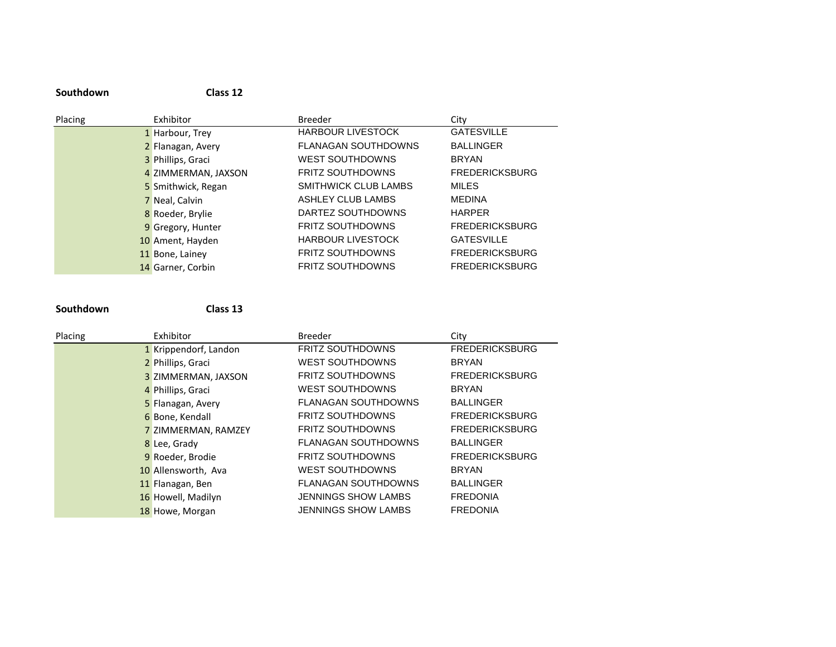| Placing | Exhibitor           | <b>Breeder</b>              | City                  |
|---------|---------------------|-----------------------------|-----------------------|
|         | 1 Harbour, Trey     | <b>HARBOUR LIVESTOCK</b>    | <b>GATESVILLE</b>     |
|         | 2 Flanagan, Avery   | <b>FLANAGAN SOUTHDOWNS</b>  | <b>BALLINGER</b>      |
|         | 3 Phillips, Graci   | <b>WEST SOUTHDOWNS</b>      | <b>BRYAN</b>          |
|         | 4 ZIMMERMAN, JAXSON | <b>FRITZ SOUTHDOWNS</b>     | <b>FREDERICKSBURG</b> |
|         | 5 Smithwick, Regan  | <b>SMITHWICK CLUB LAMBS</b> | <b>MILES</b>          |
|         | 7 Neal, Calvin      | ASHLEY CLUB LAMBS           | <b>MEDINA</b>         |
|         | 8 Roeder, Brylie    | DARTEZ SOUTHDOWNS           | <b>HARPER</b>         |
|         | 9 Gregory, Hunter   | <b>FRITZ SOUTHDOWNS</b>     | <b>FREDERICKSBURG</b> |
|         | 10 Ament, Hayden    | <b>HARBOUR LIVESTOCK</b>    | <b>GATESVILLE</b>     |
|         | 11 Bone, Lainey     | <b>FRITZ SOUTHDOWNS</b>     | <b>FREDERICKSBURG</b> |
|         | 14 Garner, Corbin   | <b>FRITZ SOUTHDOWNS</b>     | <b>FREDERICKSBURG</b> |

**Southdown Class 13**

**Southdown Class 12**

| Placing | Exhibitor             | <b>Breeder</b>             | City                  |
|---------|-----------------------|----------------------------|-----------------------|
|         | 1 Krippendorf, Landon | FRITZ SOUTHDOWNS           | <b>FREDERICKSBURG</b> |
|         | 2 Phillips, Graci     | <b>WEST SOUTHDOWNS</b>     | <b>BRYAN</b>          |
|         | 3 ZIMMERMAN, JAXSON   | <b>FRITZ SOUTHDOWNS</b>    | <b>FREDERICKSBURG</b> |
|         | 4 Phillips, Graci     | <b>WEST SOUTHDOWNS</b>     | <b>BRYAN</b>          |
|         | 5 Flanagan, Avery     | <b>FLANAGAN SOUTHDOWNS</b> | <b>BALLINGER</b>      |
|         | 6 Bone, Kendall       | <b>FRITZ SOUTHDOWNS</b>    | <b>FREDERICKSBURG</b> |
|         | 7 ZIMMERMAN, RAMZEY   | <b>FRITZ SOUTHDOWNS</b>    | <b>FREDERICKSBURG</b> |
|         | 8 Lee, Grady          | <b>FLANAGAN SOUTHDOWNS</b> | <b>BALLINGER</b>      |
|         | 9 Roeder, Brodie      | <b>FRITZ SOUTHDOWNS</b>    | <b>FREDERICKSBURG</b> |
|         | 10 Allensworth, Ava   | <b>WEST SOUTHDOWNS</b>     | <b>BRYAN</b>          |
|         | 11 Flanagan, Ben      | <b>FLANAGAN SOUTHDOWNS</b> | <b>BALLINGER</b>      |
|         | 16 Howell, Madilyn    | <b>JENNINGS SHOW LAMBS</b> | <b>FREDONIA</b>       |
|         | 18 Howe, Morgan       | <b>JENNINGS SHOW LAMBS</b> | <b>FREDONIA</b>       |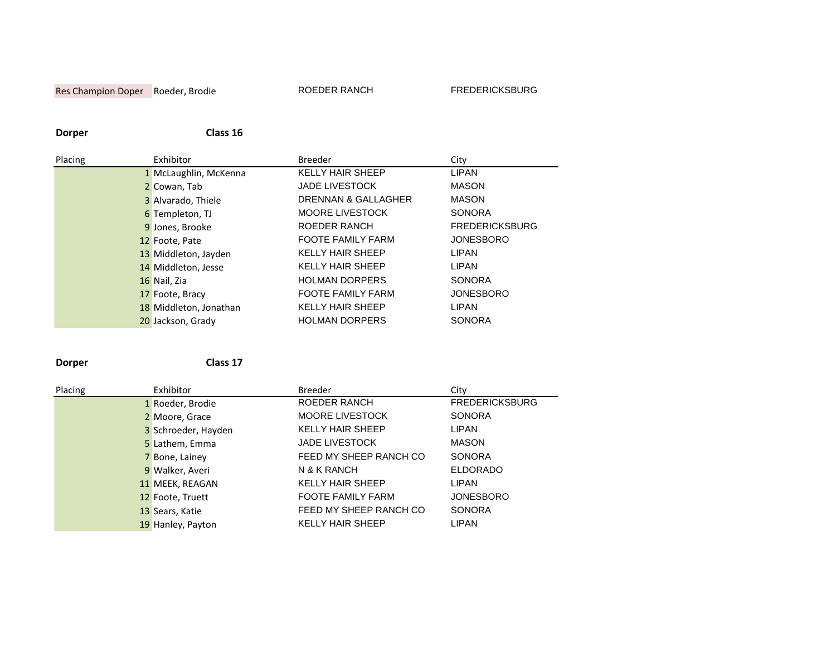# Res Champion Doper Roeder, Brodie ROEDER RANCH FREDERICKSBURG

# **Dorper Class 16**

| Placing | Exhibitor              | <b>Breeder</b>           | City                  |
|---------|------------------------|--------------------------|-----------------------|
|         | 1 McLaughlin, McKenna  | <b>KELLY HAIR SHEEP</b>  | <b>LIPAN</b>          |
|         | 2 Cowan, Tab           | <b>JADE LIVESTOCK</b>    | <b>MASON</b>          |
|         | 3 Alvarado, Thiele     | DRENNAN & GALLAGHER      | <b>MASON</b>          |
|         | 6 Templeton, TJ        | <b>MOORE LIVESTOCK</b>   | <b>SONORA</b>         |
|         | 9 Jones, Brooke        | <b>ROEDER RANCH</b>      | <b>FREDERICKSBURG</b> |
|         | 12 Foote, Pate         | <b>FOOTE FAMILY FARM</b> | <b>JONESBORO</b>      |
|         | 13 Middleton, Jayden   | <b>KELLY HAIR SHEEP</b>  | LIPAN                 |
|         | 14 Middleton, Jesse    | <b>KELLY HAIR SHEEP</b>  | LIPAN                 |
|         | 16 Nail, Zia           | <b>HOLMAN DORPERS</b>    | <b>SONORA</b>         |
|         | 17 Foote, Bracy        | <b>FOOTE FAMILY FARM</b> | <b>JONESBORO</b>      |
|         | 18 Middleton, Jonathan | <b>KELLY HAIR SHEEP</b>  | LIPAN                 |
|         | 20 Jackson, Grady      | <b>HOLMAN DORPERS</b>    | <b>SONORA</b>         |

**Dorper Class 17**

| Placing | Exhibitor           | <b>Breeder</b>           | City                  |
|---------|---------------------|--------------------------|-----------------------|
|         | 1 Roeder, Brodie    | <b>ROEDER RANCH</b>      | <b>FREDERICKSBURG</b> |
|         | 2 Moore, Grace      | <b>MOORE LIVESTOCK</b>   | <b>SONORA</b>         |
|         | 3 Schroeder, Hayden | <b>KELLY HAIR SHEEP</b>  | <b>LIPAN</b>          |
|         | 5 Lathem, Emma      | <b>JADE LIVESTOCK</b>    | MASON                 |
|         | 7 Bone, Lainey      | FEED MY SHEEP RANCH CO   | <b>SONORA</b>         |
|         | 9 Walker, Averi     | N & K RANCH              | <b>ELDORADO</b>       |
|         | 11 MEEK, REAGAN     | <b>KELLY HAIR SHEEP</b>  | <b>LIPAN</b>          |
|         | 12 Foote, Truett    | <b>FOOTE FAMILY FARM</b> | <b>JONESBORO</b>      |
|         | 13 Sears, Katie     | FEED MY SHEEP RANCH CO   | <b>SONORA</b>         |
|         | 19 Hanley, Payton   | <b>KELLY HAIR SHEEP</b>  | <b>LIPAN</b>          |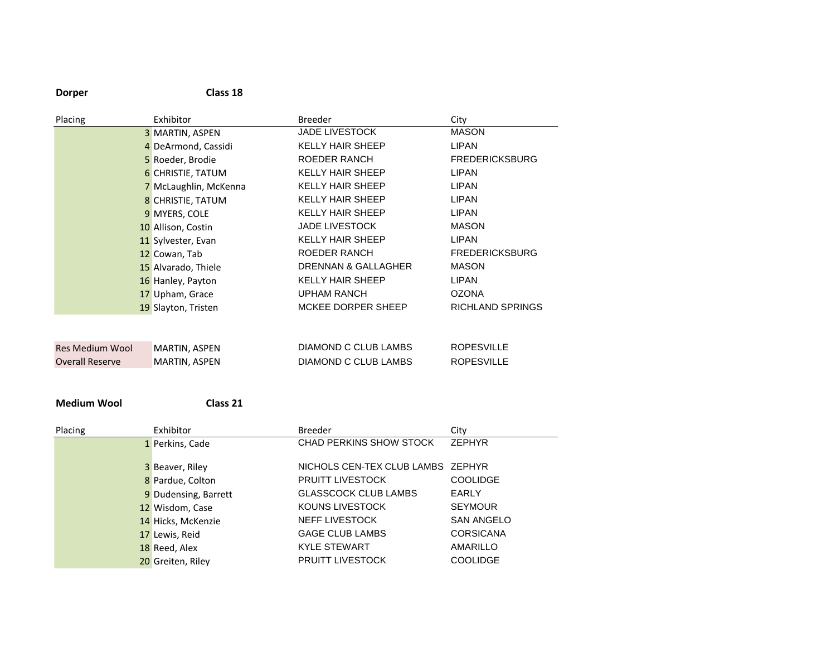| <b>Dorper</b>          | Class 18              |                           |                         |
|------------------------|-----------------------|---------------------------|-------------------------|
| Placing                | Exhibitor             | <b>Breeder</b>            | City                    |
|                        | 3 MARTIN, ASPEN       | <b>JADE LIVESTOCK</b>     | <b>MASON</b>            |
|                        | 4 DeArmond, Cassidi   | <b>KELLY HAIR SHEEP</b>   | LIPAN                   |
|                        | 5 Roeder, Brodie      | ROEDER RANCH              | <b>FREDERICKSBURG</b>   |
|                        | 6 CHRISTIE, TATUM     | <b>KELLY HAIR SHEEP</b>   | <b>LIPAN</b>            |
|                        | 7 McLaughlin, McKenna | <b>KELLY HAIR SHEEP</b>   | <b>I IPAN</b>           |
|                        | 8 CHRISTIE, TATUM     | <b>KELLY HAIR SHEEP</b>   | <b>LIPAN</b>            |
|                        | 9 MYERS, COLE         | <b>KELLY HAIR SHEEP</b>   | <b>LIPAN</b>            |
|                        | 10 Allison, Costin    | <b>JADE LIVESTOCK</b>     | <b>MASON</b>            |
|                        | 11 Sylvester, Evan    | <b>KELLY HAIR SHEEP</b>   | <b>LIPAN</b>            |
|                        | 12 Cowan, Tab         | ROEDER RANCH              | <b>FREDERICKSBURG</b>   |
|                        | 15 Alvarado, Thiele   | DRENNAN & GALLAGHER       | <b>MASON</b>            |
|                        | 16 Hanley, Payton     | <b>KELLY HAIR SHEEP</b>   | <b>I IPAN</b>           |
|                        | 17 Upham, Grace       | <b>UPHAM RANCH</b>        | <b>OZONA</b>            |
|                        | 19 Slayton, Tristen   | <b>MCKEE DORPER SHEEP</b> | <b>RICHLAND SPRINGS</b> |
|                        |                       |                           |                         |
|                        |                       |                           |                         |
| <b>Res Medium Wool</b> | MARTIN, ASPEN         | DIAMOND C CLUB LAMBS      | <b>ROPESVILLE</b>       |
| <b>Overall Reserve</b> | MARTIN, ASPEN         | DIAMOND C CLUB LAMBS      | <b>ROPESVILLE</b>       |

**Medium Wool Class 21**

| Placing | Exhibitor            | <b>Breeder</b>                    | City              |
|---------|----------------------|-----------------------------------|-------------------|
|         | 1 Perkins, Cade      | CHAD PERKINS SHOW STOCK           | <b>ZEPHYR</b>     |
|         | 3 Beaver, Riley      | NICHOLS CEN-TEX CLUB LAMBS ZEPHYR |                   |
|         | 8 Pardue, Colton     | PRUITT LIVESTOCK                  | <b>COOLIDGE</b>   |
|         | 9 Dudensing, Barrett | <b>GLASSCOCK CLUB LAMBS</b>       | <b>EARLY</b>      |
|         | 12 Wisdom, Case      | KOUNS LIVESTOCK                   | <b>SEYMOUR</b>    |
|         | 14 Hicks, McKenzie   | <b>NEFF LIVESTOCK</b>             | <b>SAN ANGELO</b> |
|         | 17 Lewis, Reid       | GAGE CLUB LAMBS                   | <b>CORSICANA</b>  |
|         | 18 Reed, Alex        | <b>KYLE STEWART</b>               | AMARILLO          |
|         | 20 Greiten, Riley    | <b>PRUITT LIVESTOCK</b>           | <b>COOLIDGE</b>   |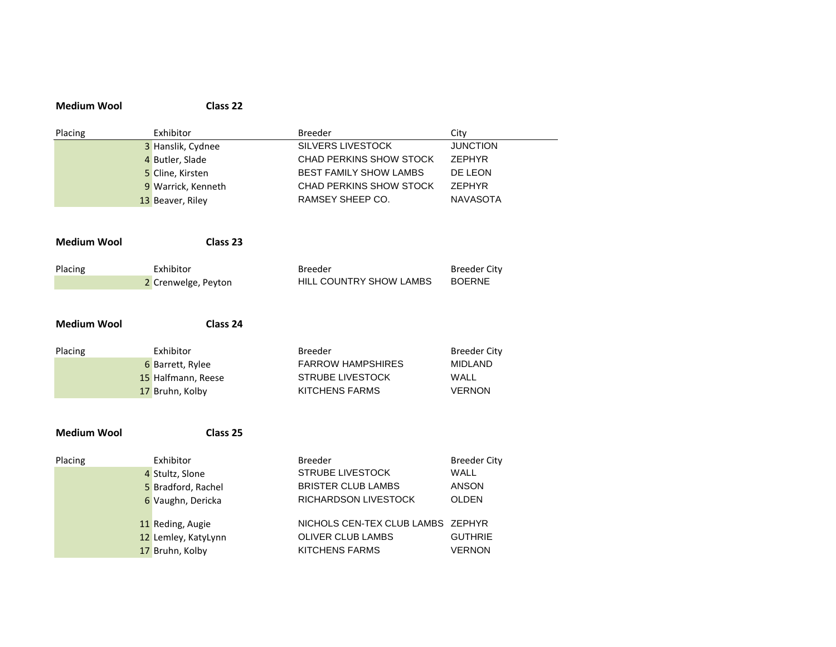| <b>Medium Wool</b> | Class 22            |                                   |                     |
|--------------------|---------------------|-----------------------------------|---------------------|
| Placing            | Exhibitor           | <b>Breeder</b>                    | City                |
|                    | 3 Hanslik, Cydnee   | <b>SILVERS LIVESTOCK</b>          | <b>JUNCTION</b>     |
|                    | 4 Butler, Slade     | CHAD PERKINS SHOW STOCK           | <b>ZEPHYR</b>       |
|                    | 5 Cline, Kirsten    | <b>BEST FAMILY SHOW LAMBS</b>     | DE LEON             |
|                    | 9 Warrick, Kenneth  | CHAD PERKINS SHOW STOCK           | <b>ZEPHYR</b>       |
|                    | 13 Beaver, Riley    | RAMSEY SHEEP CO.                  | <b>NAVASOTA</b>     |
| <b>Medium Wool</b> | Class 23            |                                   |                     |
| Placing            | Exhibitor           | <b>Breeder</b>                    | <b>Breeder City</b> |
|                    | 2 Crenwelge, Peyton | HILL COUNTRY SHOW LAMBS           | <b>BOERNE</b>       |
|                    |                     |                                   |                     |
| <b>Medium Wool</b> | Class 24            |                                   |                     |
| Placing            | Exhibitor           | <b>Breeder</b>                    | <b>Breeder City</b> |
|                    | 6 Barrett, Rylee    | <b>FARROW HAMPSHIRES</b>          | <b>MIDLAND</b>      |
|                    | 15 Halfmann, Reese  | <b>STRUBE LIVESTOCK</b>           | WALL                |
|                    | 17 Bruhn, Kolby     | <b>KITCHENS FARMS</b>             | <b>VERNON</b>       |
|                    |                     |                                   |                     |
| <b>Medium Wool</b> | Class 25            |                                   |                     |
| Placing            | Exhibitor           | <b>Breeder</b>                    | <b>Breeder City</b> |
|                    | 4 Stultz, Slone     | <b>STRUBE LIVESTOCK</b>           | <b>WALL</b>         |
|                    | 5 Bradford, Rachel  | <b>BRISTER CLUB LAMBS</b>         | <b>ANSON</b>        |
|                    | 6 Vaughn, Dericka   | RICHARDSON LIVESTOCK              | <b>OLDEN</b>        |
|                    | 11 Reding, Augie    | NICHOLS CEN-TEX CLUB LAMBS ZEPHYR |                     |
|                    | 12 Lemley, KatyLynn | <b>OLIVER CLUB LAMBS</b>          | <b>GUTHRIE</b>      |
|                    | 17 Bruhn, Kolby     | <b>KITCHENS FARMS</b>             | <b>VERNON</b>       |